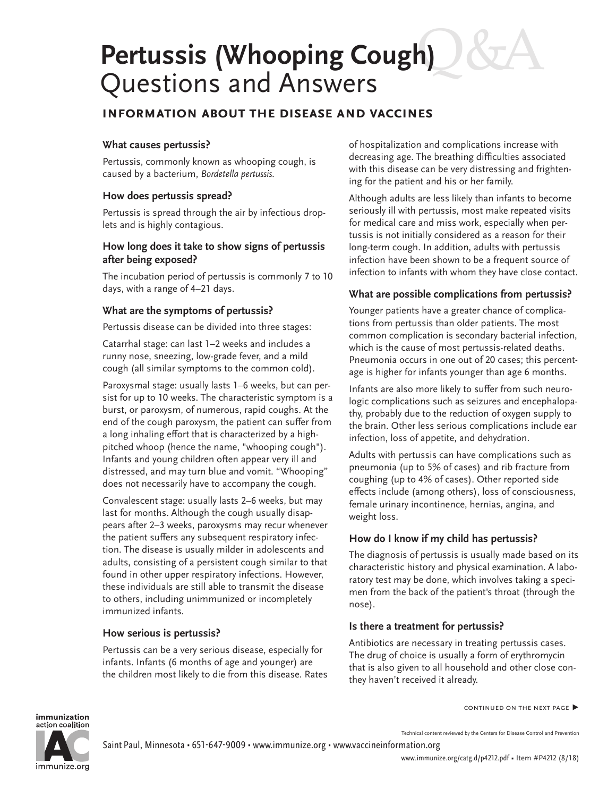# **Pertussis (Whooping Cough)** Questions and Answers

## **information about the disease and vaccines**

#### **What causes pertussis?**

Pertussis, commonly known as whooping cough, is caused by a bacterium, *Bordetella pertussis.*

#### **How does pertussis spread?**

Pertussis is spread through the air by infectious droplets and is highly contagious.

#### **How long does it take to show signs of pertussis after being exposed?**

The incubation period of pertussis is commonly 7 to 10 days, with a range of 4–21 days.

#### **What are the symptoms of pertussis?**

Pertussis disease can be divided into three stages:

Catarrhal stage: can last 1–2 weeks and includes a runny nose, sneezing, low-grade fever, and a mild cough (all similar symptoms to the common cold).

Paroxysmal stage: usually lasts 1–6 weeks, but can persist for up to 10 weeks. The characteristic symptom is a burst, or paroxysm, of numerous, rapid coughs. At the end of the cough paroxysm, the patient can suffer from a long inhaling effort that is characterized by a highpitched whoop (hence the name, "whooping cough"). Infants and young children often appear very ill and distressed, and may turn blue and vomit. "Whooping" does not necessarily have to accompany the cough.

Convalescent stage: usually lasts 2–6 weeks, but may last for months. Although the cough usually disappears after 2–3 weeks, paroxysms may recur whenever the patient suffers any subsequent respiratory infection. The disease is usually milder in adolescents and adults, consisting of a persistent cough similar to that found in other upper respiratory infections. However, these individuals are still able to transmit the disease to others, including unimmunized or incompletely immunized infants.

#### **How serious is pertussis?**

Pertussis can be a very serious disease, especially for infants. Infants (6 months of age and younger) are the children most likely to die from this disease. Rates of hospitalization and complications increase with decreasing age. The breathing difficulties associated with this disease can be very distressing and frightening for the patient and his or her family.

Although adults are less likely than infants to become seriously ill with pertussis, most make repeated visits for medical care and miss work, especially when pertussis is not initially considered as a reason for their long-term cough. In addition, adults with pertussis infection have been shown to be a frequent source of infection to infants with whom they have close contact.

#### **What are possible complications from pertussis?**

Younger patients have a greater chance of complications from pertussis than older patients. The most common complication is secondary bacterial infection, which is the cause of most pertussis-related deaths. Pneumonia occurs in one out of 20 cases; this percentage is higher for infants younger than age 6 months.

Infants are also more likely to suffer from such neurologic complications such as seizures and encephalopathy, probably due to the reduction of oxygen supply to the brain. Other less serious complications include ear infection, loss of appetite, and dehydration.

Adults with pertussis can have complications such as pneumonia (up to 5% of cases) and rib fracture from coughing (up to 4% of cases). Other reported side effects include (among others), loss of consciousness, female urinary incontinence, hernias, angina, and weight loss.

#### **How do I know if my child has pertussis?**

The diagnosis of pertussis is usually made based on its characteristic history and physical examination. A laboratory test may be done, which involves taking a specimen from the back of the patient's throat (through the nose).

#### **Is there a treatment for pertussis?**

Antibiotics are necessary in treating pertussis cases. The drug of choice is usually a form of erythromycin that is also given to all household and other close conthey haven't received it already.

continued on the next page **▶**

#### immunization action coalition



Technical content reviewed by the Centers for Disease Control and Prevention Saint Paul, Minnesota • 651-647-9009 • [www.immunize.org](http://www.immunize.org) • [www.vaccineinformation.org](http://www.vaccineinformation.org)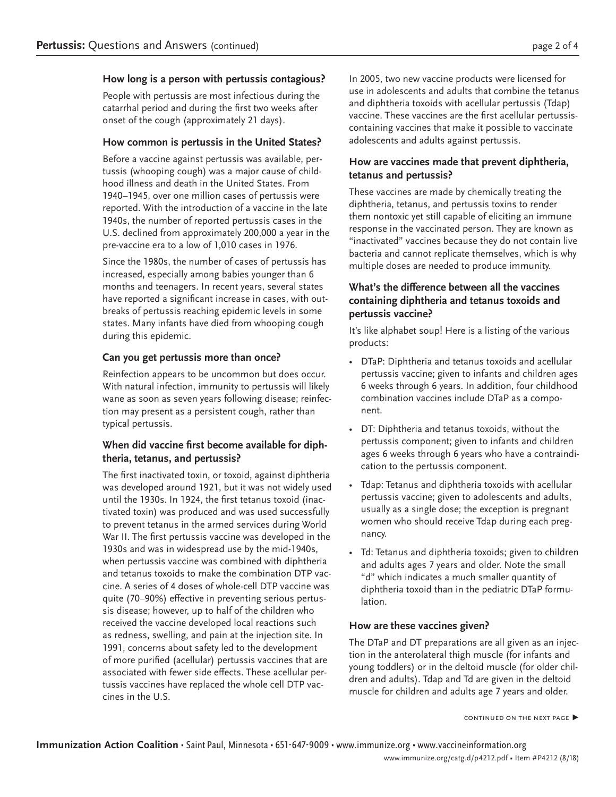#### **How long is a person with pertussis contagious?**

People with pertussis are most infectious during the catarrhal period and during the first two weeks after onset of the cough (approximately 21 days).

#### **How common is pertussis in the United States?**

Before a vaccine against pertussis was available, pertussis (whooping cough) was a major cause of childhood illness and death in the United States. From 1940–1945, over one million cases of pertussis were reported. With the introduction of a vaccine in the late 1940s, the number of reported pertussis cases in the U.S. declined from approximately 200,000 a year in the pre-vaccine era to a low of 1,010 cases in 1976.

Since the 1980s, the number of cases of pertussis has increased, especially among babies younger than 6 months and teenagers. In recent years, several states have reported a significant increase in cases, with outbreaks of pertussis reaching epidemic levels in some states. Many infants have died from whooping cough during this epidemic.

### **Can you get pertussis more than once?**

Reinfection appears to be uncommon but does occur. With natural infection, immunity to pertussis will likely wane as soon as seven years following disease; reinfection may present as a persistent cough, rather than typical pertussis.

#### **When did vaccine first become available for diphtheria, tetanus, and pertussis?**

The first inactivated toxin, or toxoid, against diphtheria was developed around 1921, but it was not widely used until the 1930s. In 1924, the first tetanus toxoid (inactivated toxin) was produced and was used successfully to prevent tetanus in the armed services during World War II. The first pertussis vaccine was developed in the 1930s and was in widespread use by the mid-1940s, when pertussis vaccine was combined with diphtheria and tetanus toxoids to make the combination DTP vaccine. A series of 4 doses of whole-cell DTP vaccine was quite (70–90%) effective in preventing serious pertussis disease; however, up to half of the children who received the vaccine developed local reactions such as redness, swelling, and pain at the injection site. In 1991, concerns about safety led to the development of more purified (acellular) pertussis vaccines that are associated with fewer side effects. These acellular pertussis vaccines have replaced the whole cell DTP vaccines in the U.S.

In 2005, two new vaccine products were licensed for use in adolescents and adults that combine the tetanus and diphtheria toxoids with acellular pertussis (Tdap) vaccine. These vaccines are the first acellular pertussiscontaining vaccines that make it possible to vaccinate adolescents and adults against pertussis.

#### **How are vaccines made that prevent diphtheria, tetanus and pertussis?**

These vaccines are made by chemically treating the diphtheria, tetanus, and pertussis toxins to render them nontoxic yet still capable of eliciting an immune response in the vaccinated person. They are known as "inactivated" vaccines because they do not contain live bacteria and cannot replicate themselves, which is why multiple doses are needed to produce immunity.

#### **What's the difference between all the vaccines containing diphtheria and tetanus toxoids and pertussis vaccine?**

It's like alphabet soup! Here is a listing of the various products:

- DTaP: Diphtheria and tetanus toxoids and acellular pertussis vaccine; given to infants and children ages 6 weeks through 6 years. In addition, four childhood combination vaccines include DTaP as a component.
- DT: Diphtheria and tetanus toxoids, without the pertussis component; given to infants and children ages 6 weeks through 6 years who have a contraindication to the pertussis component.
- Tdap: Tetanus and diphtheria toxoids with acellular pertussis vaccine; given to adolescents and adults, usually as a single dose; the exception is pregnant women who should receive Tdap during each pregnancy.
- Td: Tetanus and diphtheria toxoids; given to children and adults ages 7 years and older. Note the small "d" which indicates a much smaller quantity of diphtheria toxoid than in the pediatric DTaP formulation.

### **How are these vaccines given?**

The DTaP and DT preparations are all given as an injection in the anterolateral thigh muscle (for infants and young toddlers) or in the deltoid muscle (for older children and adults). Tdap and Td are given in the deltoid muscle for children and adults age 7 years and older.

continued on the next page **▶**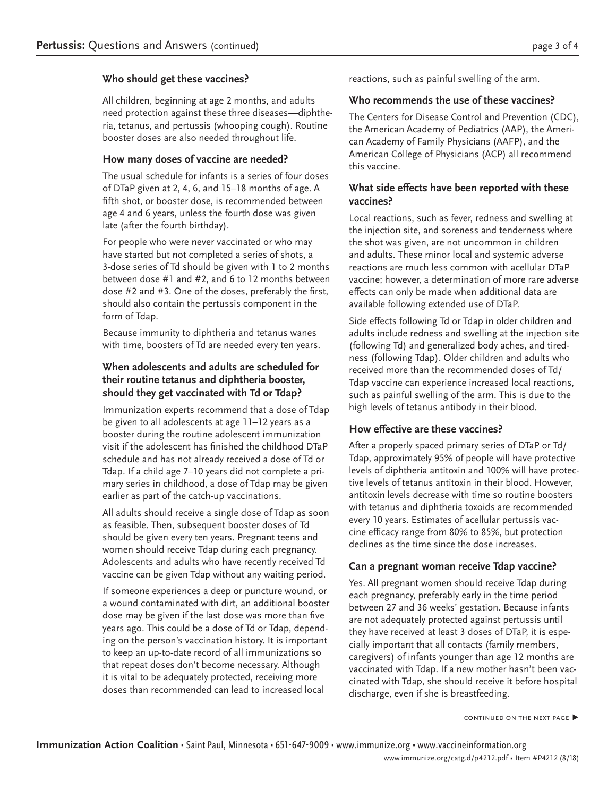#### **Who should get these vaccines?**

All children, beginning at age 2 months, and adults need protection against these three diseases—diphtheria, tetanus, and pertussis (whooping cough). Routine booster doses are also needed throughout life.

#### **How many doses of vaccine are needed?**

The usual schedule for infants is a series of four doses of DTaP given at 2, 4, 6, and 15–18 months of age. A fifth shot, or booster dose, is recommended between age 4 and 6 years, unless the fourth dose was given late (after the fourth birthday).

For people who were never vaccinated or who may have started but not completed a series of shots, a 3-dose series of Td should be given with 1 to 2 months between dose #1 and #2, and 6 to 12 months between dose #2 and #3. One of the doses, preferably the first, should also contain the pertussis component in the form of Tdap.

Because immunity to diphtheria and tetanus wanes with time, boosters of Td are needed every ten years.

### **When adolescents and adults are scheduled for their routine tetanus and diphtheria booster, should they get vaccinated with Td or Tdap?**

Immunization experts recommend that a dose of Tdap be given to all adolescents at age 11–12 years as a booster during the routine adolescent immunization visit if the adolescent has finished the childhood DTaP schedule and has not already received a dose of Td or Tdap. If a child age 7–10 years did not complete a primary series in childhood, a dose of Tdap may be given earlier as part of the catch-up vaccinations.

All adults should receive a single dose of Tdap as soon as feasible. Then, subsequent booster doses of Td should be given every ten years. Pregnant teens and women should receive Tdap during each pregnancy. Adolescents and adults who have recently received Td vaccine can be given Tdap without any waiting period.

If someone experiences a deep or puncture wound, or a wound contaminated with dirt, an additional booster dose may be given if the last dose was more than five years ago. This could be a dose of Td or Tdap, depending on the person's vaccination history. It is important to keep an up-to-date record of all immunizations so that repeat doses don't become necessary. Although it is vital to be adequately protected, receiving more doses than recommended can lead to increased local

reactions, such as painful swelling of the arm.

#### **Who recommends the use of these vaccines?**

The Centers for Disease Control and Prevention (CDC), the American Academy of Pediatrics (AAP), the American Academy of Family Physicians (AAFP), and the American College of Physicians (ACP) all recommend this vaccine.

#### **What side effects have been reported with these vaccines?**

Local reactions, such as fever, redness and swelling at the injection site, and soreness and tenderness where the shot was given, are not uncommon in children and adults. These minor local and systemic adverse reactions are much less common with acellular DTaP vaccine; however, a determination of more rare adverse effects can only be made when additional data are available following extended use of DTaP.

Side effects following Td or Tdap in older children and adults include redness and swelling at the injection site (following Td) and generalized body aches, and tiredness (following Tdap). Older children and adults who received more than the recommended doses of Td/ Tdap vaccine can experience increased local reactions, such as painful swelling of the arm. This is due to the high levels of tetanus antibody in their blood.

#### **How effective are these vaccines?**

After a properly spaced primary series of DTaP or Td/ Tdap, approximately 95% of people will have protective levels of diphtheria antitoxin and 100% will have protective levels of tetanus antitoxin in their blood. However, antitoxin levels decrease with time so routine boosters with tetanus and diphtheria toxoids are recommended every 10 years. Estimates of acellular pertussis vaccine efficacy range from 80% to 85%, but protection declines as the time since the dose increases.

#### **Can a pregnant woman receive Tdap vaccine?**

Yes. All pregnant women should receive Tdap during each pregnancy, preferably early in the time period between 27 and 36 weeks' gestation. Because infants are not adequately protected against pertussis until they have received at least 3 doses of DTaP, it is especially important that all contacts (family members, caregivers) of infants younger than age 12 months are vaccinated with Tdap. If a new mother hasn't been vaccinated with Tdap, she should receive it before hospital discharge, even if she is breastfeeding.

continued on the next page **▶**